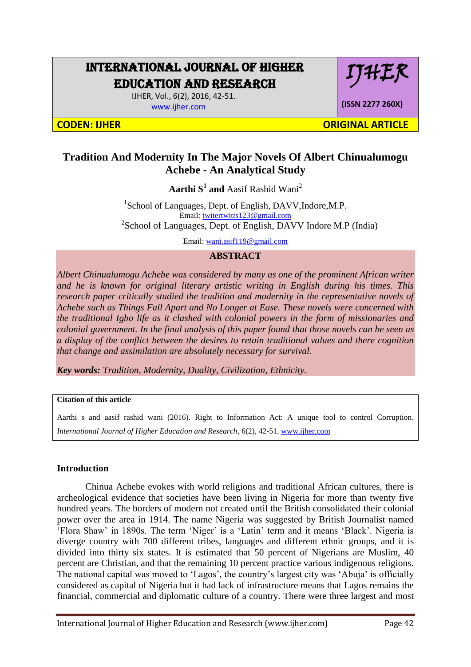# INTERNATIONAL JOURNAL OF HIGHER EDUCATION AND RESEARCH

 IJHER, Vol., 6(2), 2016, 42-51. [www.ijher.com](http://www.ijher.com/)

IJHER

**(ISSN 2277 260X)**

**CODEN: IJHER ORIGINAL ARTICLE** 

# **Tradition And Modernity In The Major Novels Of Albert Chinualumogu Achebe - An Analytical Study**

**Aarthi S<sup>1</sup> and** Aasif Rashid Wani<sup>2</sup>

<sup>1</sup>School of Languages, Dept. of English, DAVV, Indore, M.P. Email: [twitertwitts123@gmail.com](mailto:twitertwitts123@gmail.com) <sup>2</sup>School of Languages, Dept. of English, DAVV Indore M.P (India)

Email[: wani.asif119@gmail.com](mailto:wani.asif119@gmail.com)

## **ABSTRACT**

*Albert Chinualumogu Achebe was considered by many as one of the prominent African writer and he is known for original literary artistic writing in English during his times. This research paper critically studied the tradition and modernity in the representative novels of Achebe such as Things Fall Apart and No Longer at Ease. These novels were concerned with the traditional Igbo life as it clashed with colonial powers in the form of missionaries and colonial government. In the final analysis of this paper found that those novels can be seen as a display of the conflict between the desires to retain traditional values and there cognition that change and assimilation are absolutely necessary for survival.*

*Key words: Tradition, Modernity, Duality, Civilization, Ethnicity.*

#### **Citation of this article**

Aarthi s and aasif rashid wani (2016). Right to Information Act: A unique tool to control Corruption. *International Journal of Higher Education and Research*, 6(2), 42-51. [www.ijher.com](http://www.ijher.com/)

#### **Introduction**

Chinua Achebe evokes with world religions and traditional African cultures, there is archeological evidence that societies have been living in Nigeria for more than twenty five hundred years. The borders of modern not created until the British consolidated their colonial power over the area in 1914. The name Nigeria was suggested by British Journalist named 'Flora Shaw' in 1890s. The term 'Niger' is a 'Latin' term and it means 'Black'. Nigeria is diverge country with 700 different tribes, languages and different ethnic groups, and it is divided into thirty six states. It is estimated that 50 percent of Nigerians are Muslim, 40 percent are Christian, and that the remaining 10 percent practice various indigenous religions. The national capital was moved to 'Lagos', the country's largest city was 'Abuja' is officially considered as capital of Nigeria but it had lack of infrastructure means that Lagos remains the financial, commercial and diplomatic culture of a country. There were three largest and most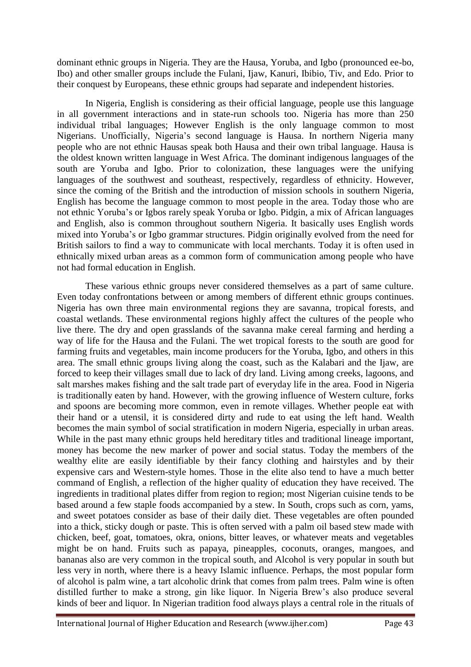dominant ethnic groups in Nigeria. They are the Hausa, Yoruba, and Igbo (pronounced ee-bo, Ibo) and other smaller groups include the Fulani, Ijaw, Kanuri, Ibibio, Tiv, and Edo. Prior to their conquest by Europeans, these ethnic groups had separate and independent histories.

In Nigeria, English is considering as their official language, people use this language in all government interactions and in state-run schools too. Nigeria has more than 250 individual tribal languages; However English is the only language common to most Nigerians. Unofficially, Nigeria's second language is Hausa. In northern Nigeria many people who are not ethnic Hausas speak both Hausa and their own tribal language. Hausa is the oldest known written language in West Africa. The dominant indigenous languages of the south are Yoruba and Igbo. Prior to colonization, these languages were the unifying languages of the southwest and southeast, respectively, regardless of ethnicity. However, since the coming of the British and the introduction of mission schools in southern Nigeria, English has become the language common to most people in the area. Today those who are not ethnic Yoruba's or Igbos rarely speak Yoruba or Igbo. Pidgin, a mix of African languages and English, also is common throughout southern Nigeria. It basically uses English words mixed into Yoruba's or Igbo grammar structures. Pidgin originally evolved from the need for British sailors to find a way to communicate with local merchants. Today it is often used in ethnically mixed urban areas as a common form of communication among people who have not had formal education in English.

These various ethnic groups never considered themselves as a part of same culture. Even today confrontations between or among members of different ethnic groups continues. Nigeria has own three main environmental regions they are savanna, [tropical forests,](http://www.everyculture.com/knowledge/Tropical_and_subtropical_moist_broadleaf_forests.html) and coastal wetlands. These environmental regions highly affect the cultures of the people who live there. The dry and open grasslands of the savanna make cereal farming and herding a way of life for the Hausa and the Fulani. The wet tropical forests to the south are good for farming fruits and vegetables, main income producers for the Yoruba, Igbo, and others in this area. The small ethnic groups living along the coast, such as the Kalabari and the Ijaw, are forced to keep their villages small due to lack of dry land. Living among creeks, lagoons, and salt marshes makes fishing and the salt trade part of everyday life in the area. Food in Nigeria is traditionally eaten by hand. However, with the growing influence of Western culture, forks and spoons are becoming more common, even in remote villages. Whether people eat with their hand or a utensil, it is considered dirty and rude to eat using the left hand. Wealth becomes the main symbol of social stratification in modern Nigeria, especially in urban areas. While in the past many ethnic groups held hereditary titles and traditional lineage important, money has become the new marker of power and social status. Today the members of the wealthy elite are easily identifiable by their fancy clothing and hairstyles and by their expensive cars and Western-style homes. Those in the elite also tend to have a much better command of English, a reflection of the higher quality of education they have received. The ingredients in traditional plates differ from region to region; most Nigerian cuisine tends to be based around a few staple foods accompanied by a stew. In South, crops such as corn, yams, and sweet potatoes consider as base of their daily diet. These vegetables are often pounded into a thick, sticky dough or paste. This is often served with a palm oil based stew made with chicken, beef, goat, tomatoes, okra, onions, bitter leaves, or whatever meats and vegetables might be on hand. Fruits such as papaya, pineapples, coconuts, oranges, mangoes, and bananas also are very common in the tropical south, and Alcohol is very popular in south but less very in north, where there is a heavy Islamic influence. Perhaps, the most popular form of alcohol is palm wine, a tart alcoholic drink that comes from palm trees. Palm wine is often distilled further to make a strong, gin like liquor. In Nigeria Brew's also produce several kinds of beer and liquor. In Nigerian tradition food always plays a central role in the rituals of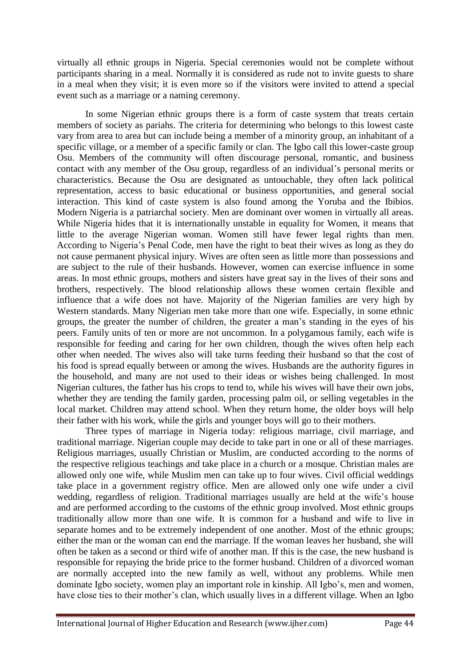virtually all ethnic groups in Nigeria. Special ceremonies would not be complete without participants sharing in a meal. Normally it is considered as rude not to invite guests to share in a meal when they visit; it is even more so if the visitors were invited to attend a special event such as a marriage or a naming ceremony.

In some Nigerian ethnic groups there is a form of caste system that treats certain members of society as pariahs. The criteria for determining who belongs to this lowest caste vary from area to area but can include being a member of a minority group, an inhabitant of a specific village, or a member of a specific family or clan. The Igbo call this lower-caste group Osu. Members of the community will often discourage personal, romantic, and business contact with any member of the Osu group, regardless of an individual's personal merits or characteristics. Because the Osu are designated as untouchable, they often lack political representation, access to basic educational or business opportunities, and general social interaction. This kind of caste system is also found among the Yoruba and the Ibibios. Modern Nigeria is a patriarchal society. Men are dominant over women in virtually all areas. While Nigeria hides that it is internationally unstable in equality for Women, it means that little to the average Nigerian woman. Women still have fewer legal rights than men. According to Nigeria's Penal Code, men have the right to beat their wives as long as they do not cause permanent physical injury. Wives are often seen as little more than possessions and are subject to the rule of their husbands. However, women can exercise influence in some areas. In most ethnic groups, mothers and sisters have great say in the lives of their sons and brothers, respectively. The [blood relationship](http://www.everyculture.com/knowledge/Consanguinity.html) allows these women certain flexible and influence that a wife does not have. Majority of the Nigerian families are very high by Western standards. Many Nigerian men take more than one wife. Especially, in some ethnic groups, the greater the number of children, the greater a man's standing in the eyes of his peers. Family units of ten or more are not uncommon. In a polygamous family, each wife is responsible for feeding and caring for her own children, though the wives often help each other when needed. The wives also will take turns feeding their husband so that the cost of his food is spread equally between or among the wives. Husbands are the authority figures in the household, and many are not used to their ideas or wishes being challenged. In most Nigerian cultures, the father has his crops to tend to, while his wives will have their own jobs, whether they are tending the family garden, processing palm oil, or selling vegetables in the local market. Children may attend school. When they return home, the older boys will help their father with his work, while the girls and younger boys will go to their mothers.

Three types of marriage in Nigeria today: religious marriage, civil marriage, and traditional marriage. Nigerian couple may decide to take part in one or all of these marriages. Religious marriages, usually Christian or Muslim, are conducted according to the norms of the respective religious teachings and take place in a church or a mosque. Christian males are allowed only one wife, while Muslim men can take up to four wives. Civil official weddings take place in a government registry office. Men are allowed only one wife under a civil wedding, regardless of religion. Traditional marriages usually are held at the wife's house and are performed according to the customs of the ethnic group involved. Most ethnic groups traditionally allow more than one wife. It is common for a husband and wife to live in separate homes and to be extremely independent of one another. Most of the ethnic groups; either the man or the woman can end the marriage. If the woman leaves her husband, she will often be taken as a second or third wife of another man. If this is the case, the new husband is responsible for repaying the bride price to the former husband. Children of a divorced woman are normally accepted into the new family as well, without any problems. While men dominate Igbo society, women play an important role in kinship. All Igbo's, men and women, have close ties to their mother's clan, which usually lives in a different village. When an Igbo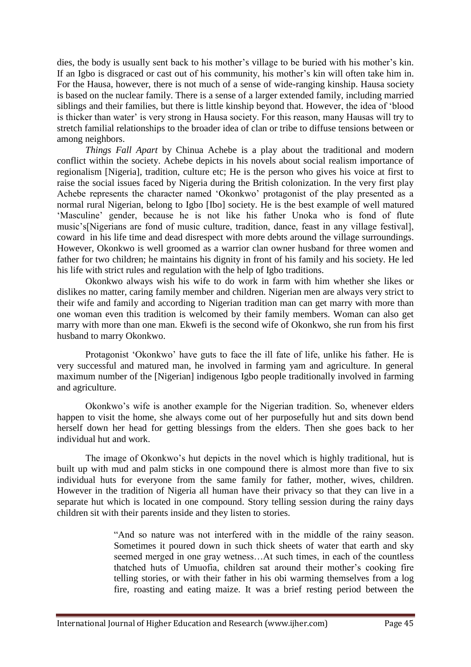dies, the body is usually sent back to his mother's village to be buried with his mother's kin. If an Igbo is disgraced or cast out of his community, his mother's kin will often take him in. For the Hausa, however, there is not much of a sense of wide-ranging kinship. Hausa society is based on the nuclear family. There is a sense of a larger extended family, including married siblings and their families, but there is little kinship beyond that. However, the idea of 'blood is thicker than water' is very strong in Hausa society. For this reason, many Hausas will try to stretch familial relationships to the broader idea of clan or tribe to diffuse tensions between or among neighbors.

*Things Fall Apart* by Chinua Achebe is a play about the traditional and modern conflict within the society. Achebe depicts in his novels about social realism importance of regionalism [Nigeria], tradition, culture etc; He is the person who gives his voice at first to raise the social issues faced by Nigeria during the British colonization. In the very first play Achebe represents the character named 'Okonkwo' protagonist of the play presented as a normal rural Nigerian, belong to Igbo [Ibo] society. He is the best example of well matured 'Masculine' gender, because he is not like his father Unoka who is fond of flute music's[Nigerians are fond of music culture, tradition, dance, feast in any village festival], coward in his life time and dead disrespect with more debts around the village surroundings. However, Okonkwo is well groomed as a warrior clan owner husband for three women and father for two children; he maintains his dignity in front of his family and his society. He led his life with strict rules and regulation with the help of Igbo traditions.

Okonkwo always wish his wife to do work in farm with him whether she likes or dislikes no matter, caring family member and children. Nigerian men are always very strict to their wife and family and according to Nigerian tradition man can get marry with more than one woman even this tradition is welcomed by their family members. Woman can also get marry with more than one man. Ekwefi is the second wife of Okonkwo, she run from his first husband to marry Okonkwo.

Protagonist 'Okonkwo' have guts to face the ill fate of life, unlike his father. He is very successful and matured man, he involved in farming yam and agriculture. In general maximum number of the [Nigerian] indigenous Igbo people traditionally involved in farming and agriculture.

Okonkwo's wife is another example for the Nigerian tradition. So, whenever elders happen to visit the home, she always come out of her purposefully hut and sits down bend herself down her head for getting blessings from the elders. Then she goes back to her individual hut and work.

The image of Okonkwo's hut depicts in the novel which is highly traditional, hut is built up with mud and palm sticks in one compound there is almost more than five to six individual huts for everyone from the same family for father, mother, wives, children. However in the tradition of Nigeria all human have their privacy so that they can live in a separate hut which is located in one compound. Story telling session during the rainy days children sit with their parents inside and they listen to stories.

> "And so nature was not interfered with in the middle of the rainy season. Sometimes it poured down in such thick sheets of water that earth and sky seemed merged in one gray wetness…At such times, in each of the countless thatched huts of Umuofia, children sat around their mother's cooking fire telling stories, or with their father in his obi warming themselves from a log fire, roasting and eating maize. It was a brief resting period between the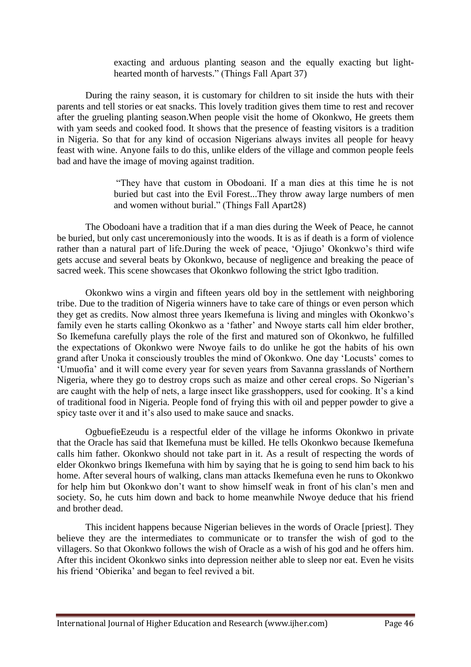exacting and arduous planting season and the equally exacting but lighthearted month of harvests." (Things Fall Apart 37)

During the rainy season, it is customary for children to sit inside the huts with their parents and tell stories or eat snacks. This lovely tradition gives them time to rest and recover after the grueling planting season.When people visit the home of Okonkwo, He greets them with yam seeds and cooked food. It shows that the presence of feasting visitors is a tradition in Nigeria. So that for any kind of occasion Nigerians always invites all people for heavy feast with wine. Anyone fails to do this, unlike elders of the village and common people feels bad and have the image of moving against tradition.

> "They have that custom in Obodoani. If a man dies at this time he is not buried but cast into the Evil Forest...They throw away large numbers of men and women without burial." (Things Fall Apart28)

The Obodoani have a tradition that if a man dies during the Week of Peace, he cannot be buried, but only cast unceremoniously into the woods. It is as if death is a form of violence rather than a natural part of life.During the week of peace, 'Ojiugo' Okonkwo's third wife gets accuse and several beats by Okonkwo, because of negligence and breaking the peace of sacred week. This scene showcases that Okonkwo following the strict Igbo tradition.

Okonkwo wins a virgin and fifteen years old boy in the settlement with neighboring tribe. Due to the tradition of Nigeria winners have to take care of things or even person which they get as credits. Now almost three years Ikemefuna is living and mingles with Okonkwo's family even he starts calling Okonkwo as a 'father' and Nwoye starts call him elder brother, So Ikemefuna carefully plays the role of the first and matured son of Okonkwo, he fulfilled the expectations of Okonkwo were Nwoye fails to do unlike he got the habits of his own grand after Unoka it consciously troubles the mind of Okonkwo. One day 'Locusts' comes to 'Umuofia' and it will come every year for seven years from Savanna grasslands of Northern Nigeria, where they go to destroy crops such as maize and other cereal crops. So Nigerian's are caught with the help of nets, a large insect like grasshoppers, used for cooking. It's a kind of traditional food in Nigeria. People fond of frying this with oil and pepper powder to give a spicy taste over it and it's also used to make sauce and snacks.

OgbuefieEzeudu is a respectful elder of the village he informs Okonkwo in private that the Oracle has said that Ikemefuna must be killed. He tells Okonkwo because Ikemefuna calls him father. Okonkwo should not take part in it. As a result of respecting the words of elder Okonkwo brings Ikemefuna with him by saying that he is going to send him back to his home. After several hours of walking, clans man attacks Ikemefuna even he runs to Okonkwo for help him but Okonkwo don't want to show himself weak in front of his clan's men and society. So, he cuts him down and back to home meanwhile Nwoye deduce that his friend and brother dead.

This incident happens because Nigerian believes in the words of Oracle [priest]. They believe they are the intermediates to communicate or to transfer the wish of god to the villagers. So that Okonkwo follows the wish of Oracle as a wish of his god and he offers him. After this incident Okonkwo sinks into depression neither able to sleep nor eat. Even he visits his friend 'Obierika' and began to feel revived a bit.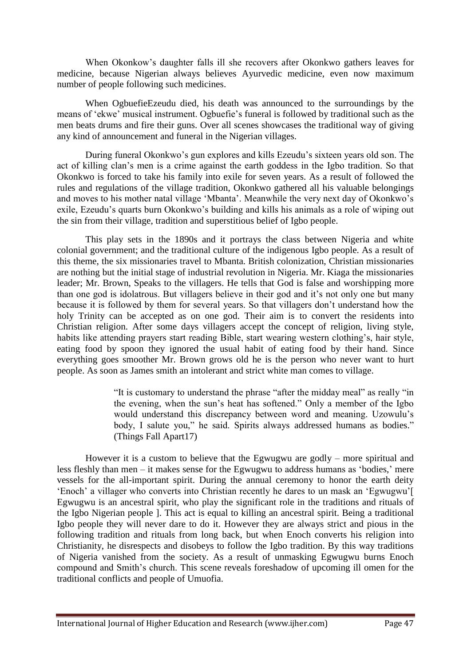When Okonkow's daughter falls ill she recovers after Okonkwo gathers leaves for medicine, because Nigerian always believes Ayurvedic medicine, even now maximum number of people following such medicines.

When OgbuefieEzeudu died, his death was announced to the surroundings by the means of 'ekwe' musical instrument. Ogbuefie's funeral is followed by traditional such as the men beats drums and fire their guns. Over all scenes showcases the traditional way of giving any kind of announcement and funeral in the Nigerian villages.

During funeral Okonkwo's gun explores and kills Ezeudu's sixteen years old son. The act of killing clan's men is a crime against the earth goddess in the Igbo tradition. So that Okonkwo is forced to take his family into exile for seven years. As a result of followed the rules and regulations of the village tradition, Okonkwo gathered all his valuable belongings and moves to his mother natal village 'Mbanta'. Meanwhile the very next day of Okonkwo's exile, Ezeudu's quarts burn Okonkwo's building and kills his animals as a role of wiping out the sin from their village, tradition and superstitious belief of Igbo people.

This play sets in the 1890s and it portrays the class between Nigeria and white colonial government; and the traditional culture of the indigenous Igbo people. As a result of this theme, the six missionaries travel to Mbanta. British colonization, Christian missionaries are nothing but the initial stage of industrial revolution in Nigeria. Mr. Kiaga the missionaries leader; Mr. Brown, Speaks to the villagers. He tells that God is false and worshipping more than one god is idolatrous. But villagers believe in their god and it's not only one but many because it is followed by them for several years. So that villagers don't understand how the holy Trinity can be accepted as on one god. Their aim is to convert the residents into Christian religion. After some days villagers accept the concept of religion, living style, habits like attending prayers start reading Bible, start wearing western clothing's, hair style, eating food by spoon they ignored the usual habit of eating food by their hand. Since everything goes smoother Mr. Brown grows old he is the person who never want to hurt people. As soon as James smith an intolerant and strict white man comes to village.

> "It is customary to understand the phrase "after the midday meal" as really "in the evening, when the sun's heat has softened." Only a member of the Igbo would understand this discrepancy between word and meaning. Uzowulu's body, I salute you," he said. Spirits always addressed humans as bodies." (Things Fall Apart17)

However it is a custom to believe that the Egwugwu are godly – more spiritual and less fleshly than men – it makes sense for the Egwugwu to address humans as 'bodies,' mere vessels for the all-important spirit. During the annual ceremony to honor the earth deity 'Enoch' a villager who converts into Christian recently he dares to un mask an 'Egwugwu'[ Egwugwu is an ancestral spirit, who play the significant role in the traditions and rituals of the Igbo Nigerian people ]. This act is equal to killing an ancestral spirit. Being a traditional Igbo people they will never dare to do it. However they are always strict and pious in the following tradition and rituals from long back, but when Enoch converts his religion into Christianity, he disrespects and disobeys to follow the Igbo tradition. By this way traditions of Nigeria vanished from the society. As a result of unmasking Egwugwu burns Enoch compound and Smith's church. This scene reveals foreshadow of upcoming ill omen for the traditional conflicts and people of Umuofia.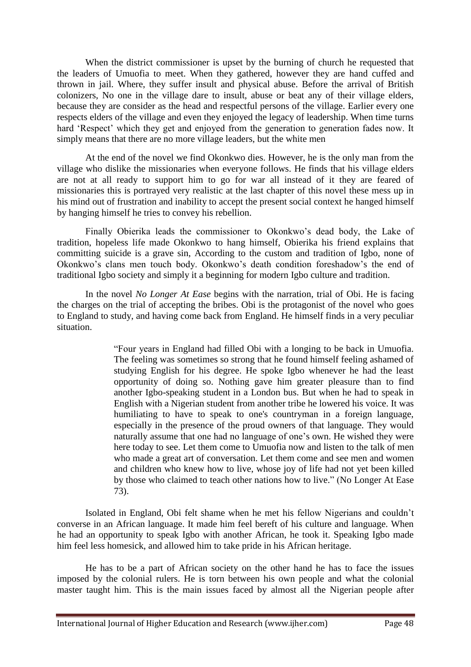When the district commissioner is upset by the burning of church he requested that the leaders of Umuofia to meet. When they gathered, however they are hand cuffed and thrown in jail. Where, they suffer insult and physical abuse. Before the arrival of British colonizers, No one in the village dare to insult, abuse or beat any of their village elders, because they are consider as the head and respectful persons of the village. Earlier every one respects elders of the village and even they enjoyed the legacy of leadership. When time turns hard 'Respect' which they get and enjoyed from the generation to generation fades now. It simply means that there are no more village leaders, but the white men

At the end of the novel we find Okonkwo dies. However, he is the only man from the village who dislike the missionaries when everyone follows. He finds that his village elders are not at all ready to support him to go for war all instead of it they are feared of missionaries this is portrayed very realistic at the last chapter of this novel these mess up in his mind out of frustration and inability to accept the present social context he hanged himself by hanging himself he tries to convey his rebellion.

Finally Obierika leads the commissioner to Okonkwo's dead body, the Lake of tradition, hopeless life made Okonkwo to hang himself, Obierika his friend explains that committing suicide is a grave sin, According to the custom and tradition of Igbo, none of Okonkwo's clans men touch body. Okonkwo's death condition foreshadow's the end of traditional Igbo society and simply it a beginning for modern Igbo culture and tradition.

In the novel *No Longer At Ease* begins with the narration, trial of Obi. He is facing the charges on the trial of accepting the bribes. Obi is the protagonist of the novel who goes to England to study, and having come back from England. He himself finds in a very peculiar situation.

> "Four years in England had filled Obi with a longing to be back in Umuofia. The feeling was sometimes so strong that he found himself feeling ashamed of studying English for his degree. He spoke Igbo whenever he had the least opportunity of doing so. Nothing gave him greater pleasure than to find another Igbo-speaking student in a London bus. But when he had to speak in English with a Nigerian student from another tribe he lowered his voice. It was humiliating to have to speak to one's countryman in a foreign language, especially in the presence of the proud owners of that language. They would naturally assume that one had no language of one's own. He wished they were here today to see. Let them come to Umuofia now and listen to the talk of men who made a great art of conversation. Let them come and see men and women and children who knew how to live, whose joy of life had not yet been killed by those who claimed to teach other nations how to live." (No Longer At Ease 73).

Isolated in England, Obi felt shame when he met his fellow Nigerians and couldn't converse in an African language. It made him feel bereft of his culture and language. When he had an opportunity to speak Igbo with another African, he took it. Speaking Igbo made him feel less homesick, and allowed him to take pride in his African heritage.

He has to be a part of African society on the other hand he has to face the issues imposed by the colonial rulers. He is torn between his own people and what the colonial master taught him. This is the main issues faced by almost all the Nigerian people after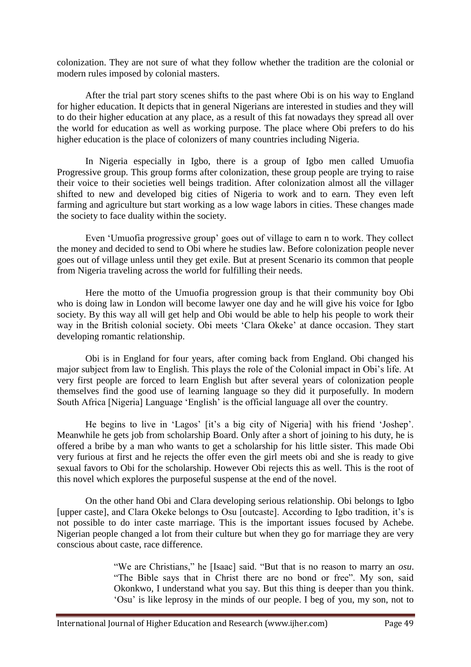colonization. They are not sure of what they follow whether the tradition are the colonial or modern rules imposed by colonial masters.

After the trial part story scenes shifts to the past where Obi is on his way to England for higher education. It depicts that in general Nigerians are interested in studies and they will to do their higher education at any place, as a result of this fat nowadays they spread all over the world for education as well as working purpose. The place where Obi prefers to do his higher education is the place of colonizers of many countries including Nigeria.

In Nigeria especially in Igbo, there is a group of Igbo men called Umuofia Progressive group. This group forms after colonization, these group people are trying to raise their voice to their societies well beings tradition. After colonization almost all the villager shifted to new and developed big cities of Nigeria to work and to earn. They even left farming and agriculture but start working as a low wage labors in cities. These changes made the society to face duality within the society.

Even 'Umuofia progressive group' goes out of village to earn n to work. They collect the money and decided to send to Obi where he studies law. Before colonization people never goes out of village unless until they get exile. But at present Scenario its common that people from Nigeria traveling across the world for fulfilling their needs.

Here the motto of the Umuofia progression group is that their community boy Obi who is doing law in London will become lawyer one day and he will give his voice for Igbo society. By this way all will get help and Obi would be able to help his people to work their way in the British colonial society. Obi meets 'Clara Okeke' at dance occasion. They start developing romantic relationship.

Obi is in England for four years, after coming back from England. Obi changed his major subject from law to English. This plays the role of the Colonial impact in Obi's life. At very first people are forced to learn English but after several years of colonization people themselves find the good use of learning language so they did it purposefully. In modern South Africa [Nigeria] Language 'English' is the official language all over the country.

He begins to live in 'Lagos' [it's a big city of Nigeria] with his friend 'Joshep'. Meanwhile he gets job from scholarship Board. Only after a short of joining to his duty, he is offered a bribe by a man who wants to get a scholarship for his little sister. This made Obi very furious at first and he rejects the offer even the girl meets obi and she is ready to give sexual favors to Obi for the scholarship. However Obi rejects this as well. This is the root of this novel which explores the purposeful suspense at the end of the novel.

On the other hand Obi and Clara developing serious relationship. Obi belongs to Igbo [upper caste], and Clara Okeke belongs to Osu [outcaste]. According to Igbo tradition, it's is not possible to do inter caste marriage. This is the important issues focused by Achebe. Nigerian people changed a lot from their culture but when they go for marriage they are very conscious about caste, race difference.

> "We are Christians," he [Isaac] said. "But that is no reason to marry an *osu*. "The Bible says that in Christ there are no bond or free". My son, said Okonkwo, I understand what you say. But this thing is deeper than you think. 'Osu' is like leprosy in the minds of our people. I beg of you, my son, not to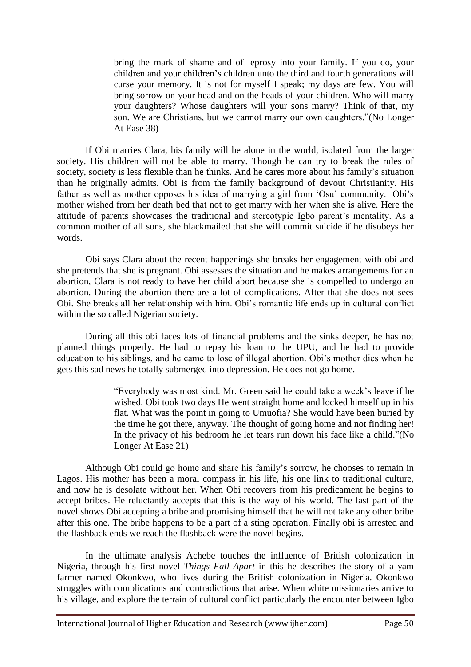bring the mark of shame and of leprosy into your family. If you do, your children and your children's children unto the third and fourth generations will curse your memory. It is not for myself I speak; my days are few. You will bring sorrow on your head and on the heads of your children. Who will marry your daughters? Whose daughters will your sons marry? Think of that, my son. We are Christians, but we cannot marry our own daughters."(No Longer At Ease 38)

If Obi marries Clara, his family will be alone in the world, isolated from the larger society. His children will not be able to marry. Though he can try to break the rules of society, society is less flexible than he thinks. And he cares more about his family's situation than he originally admits. Obi is from the family background of devout Christianity. His father as well as mother opposes his idea of marrying a girl from 'Osu' community. Obi's mother wished from her death bed that not to get marry with her when she is alive. Here the attitude of parents showcases the traditional and stereotypic Igbo parent's mentality. As a common mother of all sons, she blackmailed that she will commit suicide if he disobeys her words.

Obi says Clara about the recent happenings she breaks her engagement with obi and she pretends that she is pregnant. Obi assesses the situation and he makes arrangements for an abortion, Clara is not ready to have her child abort because she is compelled to undergo an abortion. During the abortion there are a lot of complications. After that she does not sees Obi. She breaks all her relationship with him. Obi's romantic life ends up in cultural conflict within the so called Nigerian society.

During all this obi faces lots of financial problems and the sinks deeper, he has not planned things properly. He had to repay his loan to the UPU, and he had to provide education to his siblings, and he came to lose of illegal abortion. Obi's mother dies when he gets this sad news he totally submerged into depression. He does not go home.

> "Everybody was most kind. Mr. Green said he could take a week's leave if he wished. Obi took two days He went straight home and locked himself up in his flat. What was the point in going to Umuofia? She would have been buried by the time he got there, anyway. The thought of going home and not finding her! In the privacy of his bedroom he let tears run down his face like a child."(No Longer At Ease 21)

Although Obi could go home and share his family's sorrow, he chooses to remain in Lagos. His mother has been a moral compass in his life, his one link to traditional culture, and now he is desolate without her. When Obi recovers from his predicament he begins to accept bribes. He reluctantly accepts that this is the way of his world. The last part of the novel shows Obi accepting a bribe and promising himself that he will not take any other bribe after this one. The bribe happens to be a part of a sting operation. Finally obi is arrested and the flashback ends we reach the flashback were the novel begins.

In the ultimate analysis Achebe touches the influence of British colonization in Nigeria, through his first novel *Things Fall Apart* in this he describes the story of a yam farmer named Okonkwo, who lives during the British colonization in Nigeria. Okonkwo struggles with complications and contradictions that arise. When white missionaries arrive to his village, and explore the terrain of cultural conflict particularly the encounter between Igbo